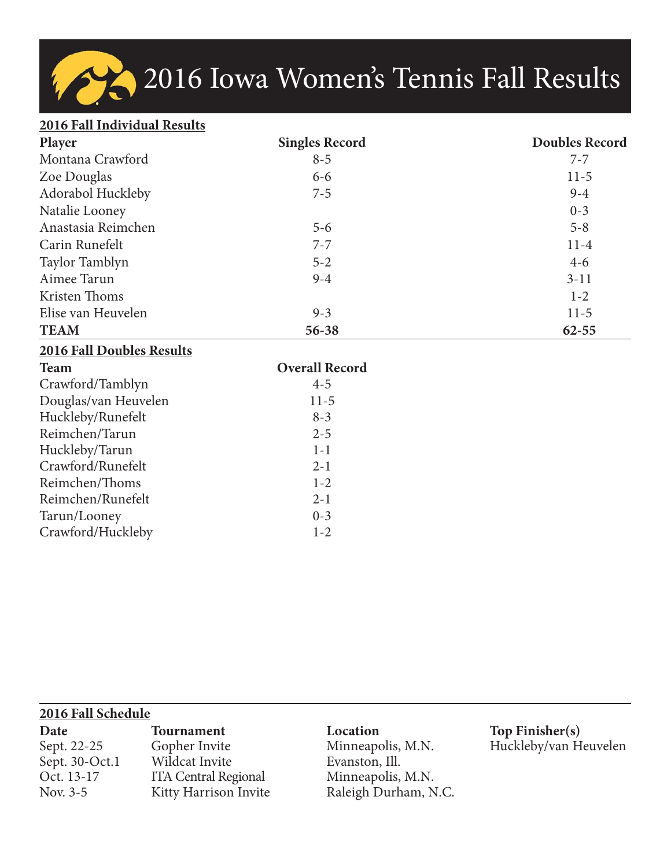# 2016 Iowa Women's Tennis Fall Results

#### **2016 Fall Individual Results**

| Player             | <b>Singles Record</b> | <b>Doubles Record</b> |
|--------------------|-----------------------|-----------------------|
| Montana Crawford   | $8 - 5$               | $7 - 7$               |
| Zoe Douglas        | $6 - 6$               | $11-5$                |
| Adorabol Huckleby  | $7 - 5$               | $9 - 4$               |
| Natalie Looney     |                       | $0 - 3$               |
| Anastasia Reimchen | $5 - 6$               | $5 - 8$               |
| Carin Runefelt     | $7 - 7$               | $11-4$                |
| Taylor Tamblyn     | $5 - 2$               | $4-6$                 |
| Aimee Tarun        | $9 - 4$               | $3 - 11$              |
| Kristen Thoms      |                       | $1 - 2$               |
| Elise van Heuvelen | $9 - 3$               | $11-5$                |
| <b>TEAM</b>        | 56-38                 | $62 - 55$             |

### **2016 Fall Doubles Results**

| <b>Team</b>          | <b>Overall Record</b> |
|----------------------|-----------------------|
| Crawford/Tamblyn     | $4 - 5$               |
| Douglas/van Heuvelen | $11-5$                |
| Huckleby/Runefelt    | $8 - 3$               |
| Reimchen/Tarun       | $2 - 5$               |
| Huckleby/Tarun       | $1 - 1$               |
| Crawford/Runefelt    | $2 - 1$               |
| Reimchen/Thoms       | $1 - 2$               |
| Reimchen/Runefelt    | $2 - 1$               |
| Tarun/Looney         | $0 - 3$               |
| Crawford/Huckleby    | $1 - 2$               |

| 2016 Fall Schedule |                             |                      |                       |  |  |  |
|--------------------|-----------------------------|----------------------|-----------------------|--|--|--|
| Date               | <b>Tournament</b>           | Location             | Top Finisher(s)       |  |  |  |
| Sept. 22-25        | Gopher Invite               | Minneapolis, M.N.    | Huckleby/van Heuvelen |  |  |  |
| Sept. 30-Oct.1     | Wildcat Invite              | Evanston, Ill.       |                       |  |  |  |
| Oct. 13-17         | <b>ITA Central Regional</b> | Minneapolis, M.N.    |                       |  |  |  |
| Nov. 3-5           | Kitty Harrison Invite       | Raleigh Durham, N.C. |                       |  |  |  |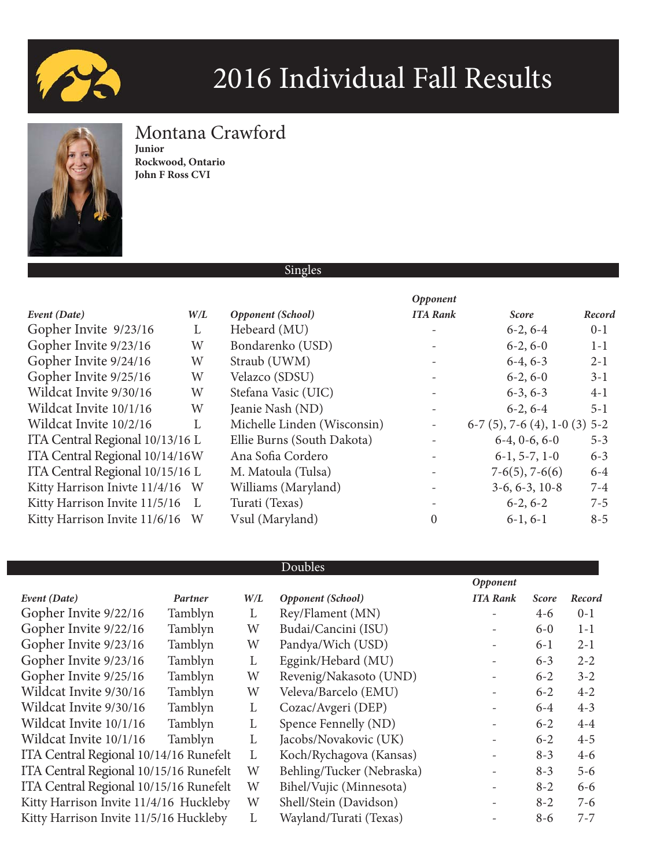



### Montana Crawford

**Junior Rockwood, Ontario John F Ross CVI**

| о<br>1<br>ш |  |
|-------------|--|
|-------------|--|

|                                 |                |                             | <i><b>Opponent</b></i>   |                                 |         |
|---------------------------------|----------------|-----------------------------|--------------------------|---------------------------------|---------|
| Event (Date)                    | W/L            | Opponent (School)           | <b>ITA Rank</b>          | <b>Score</b>                    | Record  |
| Gopher Invite 9/23/16           | L              | Hebeard (MU)                |                          | $6-2, 6-4$                      | $0 - 1$ |
| Gopher Invite 9/23/16           | W              | Bondarenko (USD)            |                          | $6-2, 6-0$                      | $1 - 1$ |
| Gopher Invite 9/24/16           | W              | Straub (UWM)                |                          | $6-4, 6-3$                      | $2 - 1$ |
| Gopher Invite 9/25/16           | W              | Velazco (SDSU)              |                          | $6-2, 6-0$                      | $3-1$   |
| Wildcat Invite 9/30/16          | W              | Stefana Vasic (UIC)         |                          | $6-3, 6-3$                      | $4-1$   |
| Wildcat Invite 10/1/16          | W              | Jeanie Nash (ND)            |                          | $6-2, 6-4$                      | $5 - 1$ |
| Wildcat Invite 10/2/16          | $\mathbf{I}$ . | Michelle Linden (Wisconsin) | $\overline{\phantom{a}}$ | $6-7$ (5), 7-6 (4), 1-0 (3) 5-2 |         |
| ITA Central Regional 10/13/16 L |                | Ellie Burns (South Dakota)  |                          | $6-4, 0-6, 6-0$                 | $5 - 3$ |
| ITA Central Regional 10/14/16W  |                | Ana Sofia Cordero           |                          | $6-1, 5-7, 1-0$                 | $6 - 3$ |
| ITA Central Regional 10/15/16 L |                | M. Matoula (Tulsa)          |                          | $7-6(5)$ , $7-6(6)$             | $6-4$   |
| Kitty Harrison Inivte 11/4/16 W |                | Williams (Maryland)         |                          | $3-6, 6-3, 10-8$                | $7 - 4$ |
| Kitty Harrison Invite 11/5/16   | L              | Turati (Texas)              |                          | $6-2, 6-2$                      | $7 - 5$ |
| Kitty Harrison Invite 11/6/16 W |                | Vsul (Maryland)             | $\mathbf{0}$             | $6-1, 6-1$                      | $8 - 5$ |

|                                        |         |     |                           | Opponent                 |              |         |
|----------------------------------------|---------|-----|---------------------------|--------------------------|--------------|---------|
| Event (Date)                           | Partner | W/L | Opponent (School)         | <b>ITA Rank</b>          | <b>Score</b> | Record  |
| Gopher Invite 9/22/16                  | Tamblyn | L   | Rey/Flament (MN)          |                          | $4-6$        | $0 - 1$ |
| Gopher Invite 9/22/16                  | Tamblyn | W   | Budai/Cancini (ISU)       |                          | $6-0$        | $1 - 1$ |
| Gopher Invite 9/23/16                  | Tamblyn | W   | Pandya/Wich (USD)         |                          | $6-1$        | $2 - 1$ |
| Gopher Invite 9/23/16                  | Tamblyn | L   | Eggink/Hebard (MU)        |                          | $6 - 3$      | $2 - 2$ |
| Gopher Invite 9/25/16                  | Tamblyn | W   | Revenig/Nakasoto (UND)    | $\overline{\phantom{0}}$ | $6 - 2$      | $3 - 2$ |
| Wildcat Invite 9/30/16                 | Tamblyn | W   | Veleva/Barcelo (EMU)      |                          | $6 - 2$      | $4 - 2$ |
| Wildcat Invite 9/30/16                 | Tamblyn | L   | Cozac/Avgeri (DEP)        |                          | $6-4$        | $4 - 3$ |
| Wildcat Invite 10/1/16                 | Tamblyn | L   | Spence Fennelly (ND)      |                          | $6 - 2$      | $4 - 4$ |
| Wildcat Invite 10/1/16                 | Tamblyn | L   | Jacobs/Novakovic (UK)     |                          | $6 - 2$      | $4 - 5$ |
| ITA Central Regional 10/14/16 Runefelt |         | L   | Koch/Rychagova (Kansas)   |                          | $8 - 3$      | $4-6$   |
| ITA Central Regional 10/15/16 Runefelt |         | W   | Behling/Tucker (Nebraska) |                          | $8 - 3$      | $5 - 6$ |
| ITA Central Regional 10/15/16 Runefelt |         | W   | Bihel/Vujic (Minnesota)   | $\overline{\phantom{0}}$ | $8 - 2$      | $6 - 6$ |
| Kitty Harrison Invite 11/4/16 Huckleby |         | W   | Shell/Stein (Davidson)    |                          | $8 - 2$      | $7-6$   |
| Kitty Harrison Invite 11/5/16 Huckleby |         | L   | Wayland/Turati (Texas)    |                          | $8 - 6$      | $7 - 7$ |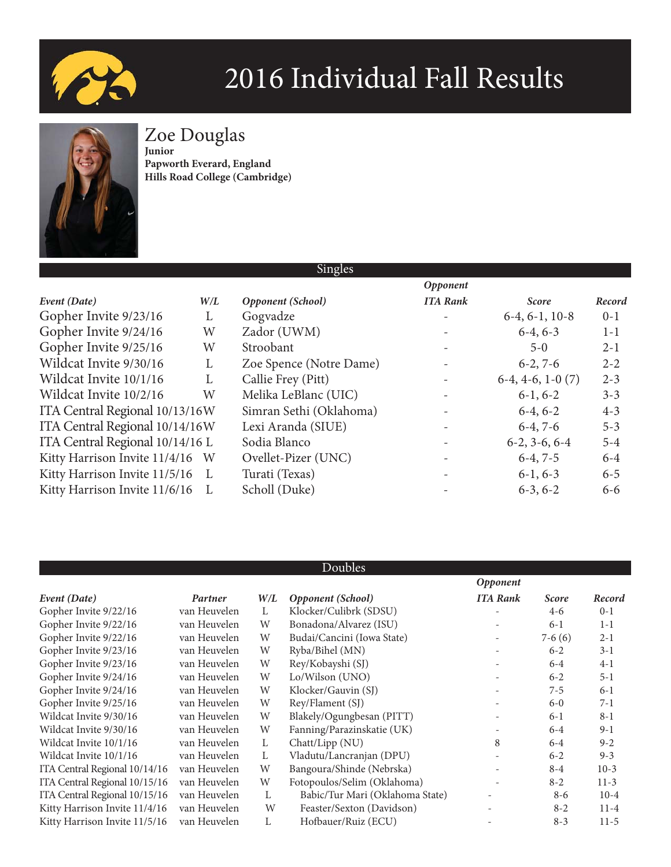



Zoe Douglas

**Junior Papworth Everard, England Hills Road College (Cambridge)**

|                                 |     | Singles                 |                          |                    |         |
|---------------------------------|-----|-------------------------|--------------------------|--------------------|---------|
|                                 |     |                         | Opponent                 |                    |         |
| Event (Date)                    | W/L | Opponent (School)       | <b>ITA Rank</b>          | <b>Score</b>       | Record  |
| Gopher Invite 9/23/16           | L   | Gogvadze                |                          | $6-4, 6-1, 10-8$   | $0 - 1$ |
| Gopher Invite 9/24/16           | W   | Zador (UWM)             |                          | $6-4, 6-3$         | $1 - 1$ |
| Gopher Invite 9/25/16           | W   | Stroobant               | $\overline{\phantom{a}}$ | $5 - 0$            | $2 - 1$ |
| Wildcat Invite 9/30/16          | L   | Zoe Spence (Notre Dame) |                          | $6-2, 7-6$         | $2 - 2$ |
| Wildcat Invite 10/1/16          | L   | Callie Frey (Pitt)      |                          | $6-4, 4-6, 1-0(7)$ | $2 - 3$ |
| Wildcat Invite 10/2/16          | W   | Melika LeBlanc (UIC)    | $\overline{\phantom{a}}$ | $6-1, 6-2$         | $3 - 3$ |
| ITA Central Regional 10/13/16W  |     | Simran Sethi (Oklahoma) |                          | $6-4, 6-2$         | $4 - 3$ |
| ITA Central Regional 10/14/16W  |     | Lexi Aranda (SIUE)      |                          | $6-4, 7-6$         | $5 - 3$ |
| ITA Central Regional 10/14/16 L |     | Sodia Blanco            |                          | $6-2, 3-6, 6-4$    | $5 - 4$ |
| Kitty Harrison Invite 11/4/16 W |     | Ovellet-Pizer (UNC)     | $\overline{\phantom{0}}$ | $6-4, 7-5$         | $6 - 4$ |
| Kitty Harrison Invite 11/5/16 L |     | Turati (Texas)          |                          | $6-1, 6-3$         | $6 - 5$ |
| Kitty Harrison Invite 11/6/16   | L   | Scholl (Duke)           |                          | $6-3, 6-2$         | $6 - 6$ |

|                               |              |     | Doubles                         |                          |              |          |
|-------------------------------|--------------|-----|---------------------------------|--------------------------|--------------|----------|
|                               |              |     |                                 | Opponent                 |              |          |
| Event (Date)                  | Partner      | W/L | Opponent (School)               | <b>ITA Rank</b>          | <b>Score</b> | Record   |
| Gopher Invite 9/22/16         | van Heuvelen | L   | Klocker/Culibrk (SDSU)          |                          | $4 - 6$      | $0 - 1$  |
| Gopher Invite 9/22/16         | van Heuvelen | W   | Bonadona/Alvarez (ISU)          | $\overline{\phantom{a}}$ | $6 - 1$      | $1 - 1$  |
| Gopher Invite 9/22/16         | van Heuvelen | W   | Budai/Cancini (Iowa State)      | $\overline{\phantom{a}}$ | $7-6(6)$     | $2 - 1$  |
| Gopher Invite 9/23/16         | van Heuvelen | W   | Ryba/Bihel (MN)                 | $\overline{\phantom{0}}$ | $6 - 2$      | $3 - 1$  |
| Gopher Invite 9/23/16         | van Heuvelen | W   | Rey/Kobayshi (SJ)               |                          | $6-4$        | $4-1$    |
| Gopher Invite 9/24/16         | van Heuvelen | W   | Lo/Wilson (UNO)                 | $\overline{\phantom{a}}$ | $6 - 2$      | $5 - 1$  |
| Gopher Invite 9/24/16         | van Heuvelen | W   | Klocker/Gauvin (SJ)             |                          | $7 - 5$      | $6 - 1$  |
| Gopher Invite 9/25/16         | van Heuvelen | W   | Rey/Flament (SJ)                |                          | $6-0$        | $7 - 1$  |
| Wildcat Invite 9/30/16        | van Heuvelen | W   | Blakely/Ogungbesan (PITT)       | $\overline{\phantom{0}}$ | $6 - 1$      | $8 - 1$  |
| Wildcat Invite 9/30/16        | van Heuvelen | W   | Fanning/Parazinskatie (UK)      |                          | $6-4$        | $9-1$    |
| Wildcat Invite 10/1/16        | van Heuvelen | L   | Chatt/Lipp (NU)                 | 8                        | $6-4$        | $9 - 2$  |
| Wildcat Invite 10/1/16        | van Heuvelen | L   | Vladutu/Lancranjan (DPU)        |                          | $6 - 2$      | $9 - 3$  |
| ITA Central Regional 10/14/16 | van Heuvelen | W   | Bangoura/Shinde (Nebrska)       |                          | $8 - 4$      | $10-3$   |
| ITA Central Regional 10/15/16 | van Heuvelen | W   | Fotopoulos/Selim (Oklahoma)     |                          | $8 - 2$      | $11-3$   |
| ITA Central Regional 10/15/16 | van Heuvelen | L   | Babic/Tur Mari (Oklahoma State) | $\overline{\phantom{a}}$ | $8-6$        | $10 - 4$ |
| Kitty Harrison Invite 11/4/16 | van Heuvelen | W   | Feaster/Sexton (Davidson)       |                          | $8 - 2$      | $11-4$   |
| Kitty Harrison Invite 11/5/16 | van Heuvelen | L   | Hofbauer/Ruiz (ECU)             |                          | $8 - 3$      | $11-5$   |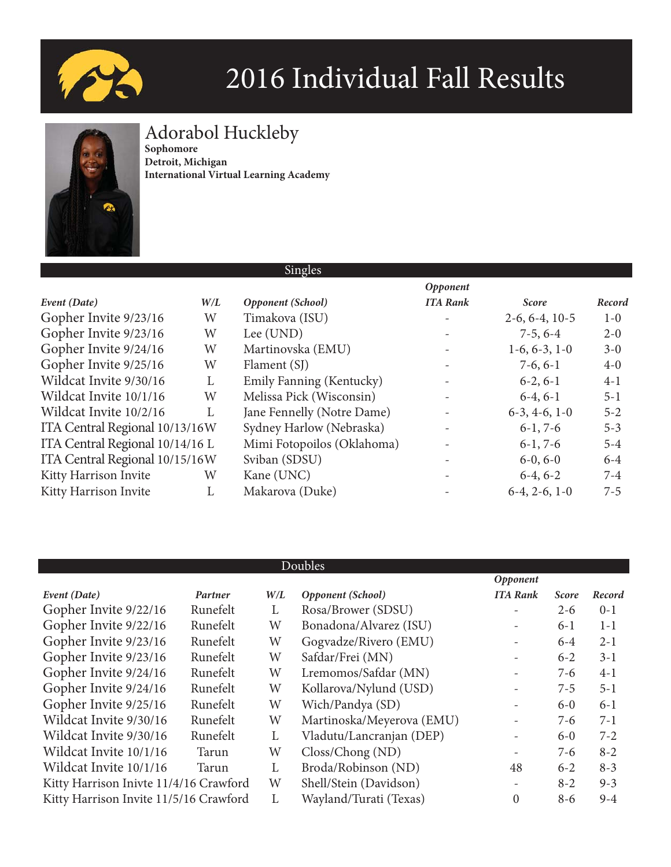



### Adorabol Huckleby

**Sophomore Detroit, Michigan International Virtual Learning Academy**

|                                 |     | Singles                    |                          |                  |         |
|---------------------------------|-----|----------------------------|--------------------------|------------------|---------|
|                                 |     |                            | Opponent                 |                  |         |
| Event (Date)                    | W/L | Opponent (School)          | <b>ITA Rank</b>          | <b>Score</b>     | Record  |
| Gopher Invite 9/23/16           | W   | Timakova (ISU)             |                          | $2-6, 6-4, 10-5$ | $1-0$   |
| Gopher Invite 9/23/16           | W   | Lee (UND)                  | $\overline{\phantom{a}}$ | $7-5, 6-4$       | $2 - 0$ |
| Gopher Invite 9/24/16           | W   | Martinovska (EMU)          |                          | $1-6, 6-3, 1-0$  | $3 - 0$ |
| Gopher Invite 9/25/16           | W   | Flament (SJ)               | $\overline{\phantom{a}}$ | $7-6, 6-1$       | $4-0$   |
| Wildcat Invite 9/30/16          | L   | Emily Fanning (Kentucky)   | $\overline{\phantom{a}}$ | $6-2, 6-1$       | $4-1$   |
| Wildcat Invite 10/1/16          | W   | Melissa Pick (Wisconsin)   | $\overline{\phantom{a}}$ | $6-4, 6-1$       | $5 - 1$ |
| Wildcat Invite 10/2/16          | L   | Jane Fennelly (Notre Dame) |                          | $6-3, 4-6, 1-0$  | $5 - 2$ |
| ITA Central Regional 10/13/16W  |     | Sydney Harlow (Nebraska)   | $\overline{\phantom{a}}$ | $6-1, 7-6$       | $5 - 3$ |
| ITA Central Regional 10/14/16 L |     | Mimi Fotopoilos (Oklahoma) |                          | $6-1, 7-6$       | $5 - 4$ |
| ITA Central Regional 10/15/16W  |     | Sviban (SDSU)              |                          | $6-0, 6-0$       | $6 - 4$ |
| Kitty Harrison Invite           | W   | Kane (UNC)                 |                          | $6-4, 6-2$       | $7 - 4$ |
| Kitty Harrison Invite           | L   | Makarova (Duke)            |                          | $6-4, 2-6, 1-0$  | $7 - 5$ |

|                                        | Doubles  |     |                                  |                          |              |         |  |
|----------------------------------------|----------|-----|----------------------------------|--------------------------|--------------|---------|--|
|                                        |          |     |                                  | Opponent                 |              |         |  |
| Event (Date)                           | Partner  | W/L | Opponent (School)                | <b>ITA Rank</b>          | <b>Score</b> | Record  |  |
| Gopher Invite 9/22/16                  | Runefelt | L   | Rosa/Brower (SDSU)               |                          | $2 - 6$      | $0 - 1$ |  |
| Gopher Invite 9/22/16                  | Runefelt | W   | Bonadona/Alvarez (ISU)           | $\overline{\phantom{a}}$ | $6 - 1$      | $1-1$   |  |
| Gopher Invite 9/23/16                  | Runefelt | W   | Gogvadze/Rivero (EMU)            |                          | $6-4$        | $2 - 1$ |  |
| Gopher Invite 9/23/16                  | Runefelt | W   | Safdar/Frei (MN)                 | $\overline{\phantom{a}}$ | $6 - 2$      | $3 - 1$ |  |
| Gopher Invite 9/24/16                  | Runefelt | W   | Lremomos/Safdar (MN)             | $\overline{\phantom{a}}$ | $7-6$        | $4-1$   |  |
| Gopher Invite 9/24/16                  | Runefelt | W   | Kollarova/Nylund (USD)           | $\overline{\phantom{a}}$ | $7 - 5$      | $5 - 1$ |  |
| Gopher Invite 9/25/16                  | Runefelt | W   | Wich/Pandya (SD)                 | $\overline{\phantom{a}}$ | $6-0$        | $6-1$   |  |
| Wildcat Invite 9/30/16                 | Runefelt | W   | Martinoska/Meyerova (EMU)        | $\overline{\phantom{m}}$ | $7-6$        | $7-1$   |  |
| Wildcat Invite 9/30/16                 | Runefelt | L   | Vladutu/Lancranjan (DEP)         | $\overline{\phantom{a}}$ | $6-0$        | $7 - 2$ |  |
| Wildcat Invite 10/1/16                 | Tarun    | W   | $\text{Closs}/\text{Chong}$ (ND) | $\overline{\phantom{a}}$ | $7 - 6$      | $8 - 2$ |  |
| Wildcat Invite 10/1/16                 | Tarun    | L   | Broda/Robinson (ND)              | 48                       | $6 - 2$      | $8 - 3$ |  |
| Kitty Harrison Inivte 11/4/16 Crawford |          | W   | Shell/Stein (Davidson)           | $\overline{\phantom{a}}$ | $8 - 2$      | $9 - 3$ |  |
| Kitty Harrison Invite 11/5/16 Crawford |          | L   | Wayland/Turati (Texas)           | $\mathbf{0}$             | $8 - 6$      | $9 - 4$ |  |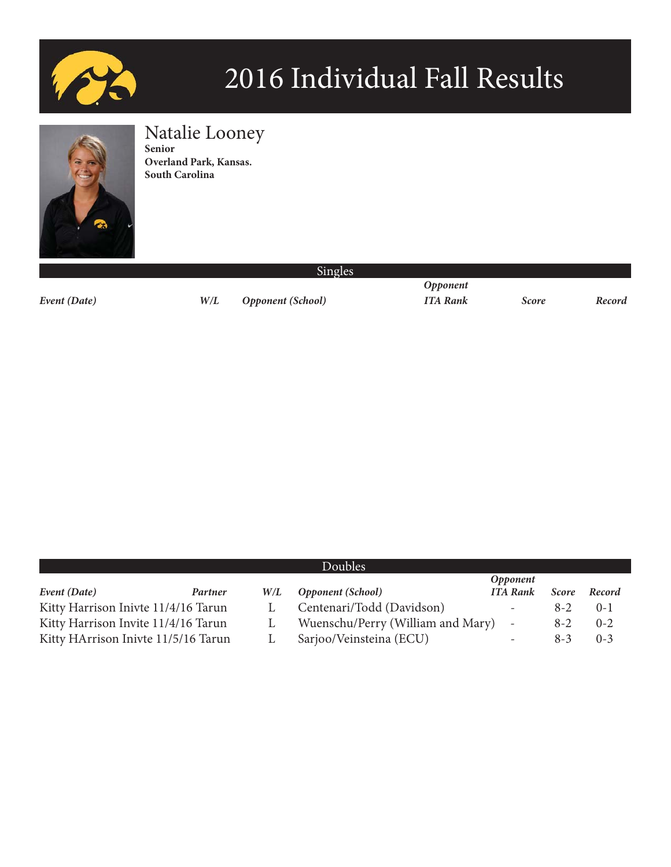



### Natalie Looney

**Senior Overland Park, Kansas. South Carolina**

*Event (Date) W/L Opponent (School) ITA Rank Score Record*

 *Opponent*

|                                     |         |     | <b>Doubles</b>                    |                          |              |          |
|-------------------------------------|---------|-----|-----------------------------------|--------------------------|--------------|----------|
|                                     |         |     |                                   | <i><b>Opponent</b></i>   |              |          |
| Event (Date)                        | Partner | W/L | <b>Opponent (School)</b>          | <b>ITA Rank</b>          | <b>Score</b> | Record   |
| Kitty Harrison Inivte 11/4/16 Tarun |         |     | Centenari/Todd (Davidson)         | $\overline{\phantom{a}}$ | $8 - 2$      | $() - ]$ |
| Kitty Harrison Invite 11/4/16 Tarun |         |     | Wuenschu/Perry (William and Mary) | $\sim$                   | $8 - 2$      | $0 - 2$  |
| Kitty HArrison Inivte 11/5/16 Tarun |         |     | Sarjoo/Veinsteina (ECU)           | $\overline{\phantom{a}}$ | $8-3$        | $0 - 3$  |

Singles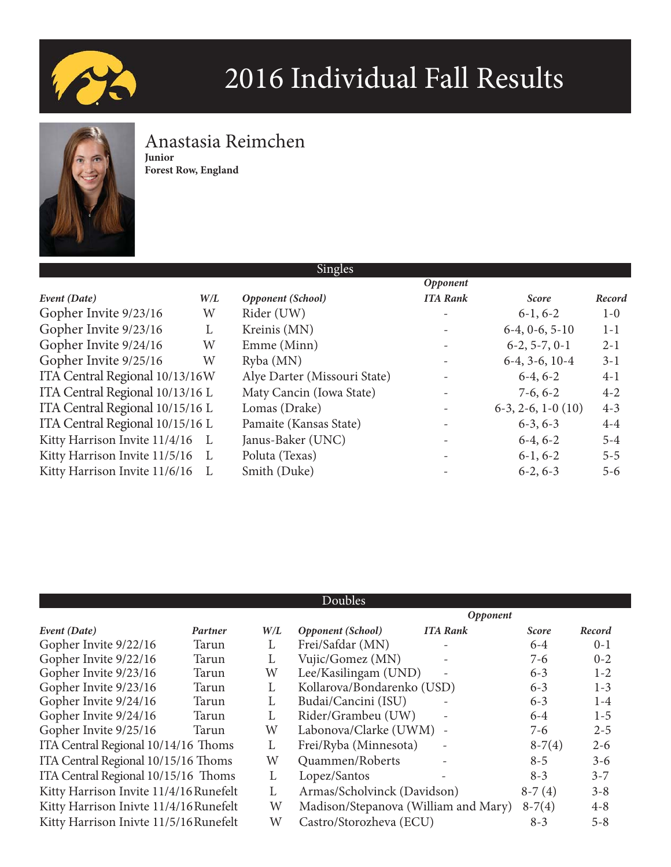



### Anastasia Reimchen

**Junior Forest Row, England**

|                                 |     | Singles                      |                          |                         |         |
|---------------------------------|-----|------------------------------|--------------------------|-------------------------|---------|
|                                 |     |                              | Opponent                 |                         |         |
| Event (Date)                    | W/L | Opponent (School)            | <b>ITA Rank</b>          | <b>Score</b>            | Record  |
| Gopher Invite 9/23/16           | W   | Rider (UW)                   | $\overline{\phantom{0}}$ | $6-1, 6-2$              | $1-0$   |
| Gopher Invite 9/23/16           | L   | Kreinis (MN)                 |                          | $6-4, 0-6, 5-10$        | $1 - 1$ |
| Gopher Invite 9/24/16           | W   | Emme (Minn)                  | $\qquad \qquad -$        | $6-2, 5-7, 0-1$         | $2 - 1$ |
| Gopher Invite 9/25/16           | W   | Ryba (MN)                    |                          | $6-4, 3-6, 10-4$        | $3-1$   |
| ITA Central Regional 10/13/16W  |     | Alye Darter (Missouri State) |                          | $6-4, 6-2$              | $4-1$   |
| ITA Central Regional 10/13/16 L |     | Maty Cancin (Iowa State)     | $\overline{\phantom{a}}$ | $7-6, 6-2$              | $4 - 2$ |
| ITA Central Regional 10/15/16 L |     | Lomas (Drake)                | $\overline{\phantom{0}}$ | $6-3$ , 2-6, 1-0 $(10)$ | $4 - 3$ |
| ITA Central Regional 10/15/16 L |     | Pamaite (Kansas State)       | $\overline{\phantom{a}}$ | $6-3, 6-3$              | $4 - 4$ |
| Kitty Harrison Invite 11/4/16   | L   | Janus-Baker (UNC)            |                          | $6-4, 6-2$              | $5 - 4$ |
| Kitty Harrison Invite 11/5/16   |     | Poluta (Texas)               | $\overline{\phantom{a}}$ | $6-1, 6-2$              | $5 - 5$ |
| Kitty Harrison Invite 11/6/16   |     | Smith (Duke)                 |                          | $6-2, 6-3$              | $5 - 6$ |
|                                 |     |                              |                          |                         |         |

|                                        |         |     |                                      | Opponent                 |              |         |
|----------------------------------------|---------|-----|--------------------------------------|--------------------------|--------------|---------|
| Event (Date)                           | Partner | W/L | Opponent (School)                    | <b>ITA Rank</b>          | <b>Score</b> | Record  |
| Gopher Invite 9/22/16                  | Tarun   | L   | Frei/Safdar (MN)                     | $\overline{\phantom{a}}$ | $6-4$        | $0 - 1$ |
| Gopher Invite 9/22/16                  | Tarun   | L   | Vujic/Gomez (MN)                     | $\overline{\phantom{a}}$ | $7-6$        | $0 - 2$ |
| Gopher Invite 9/23/16                  | Tarun   | W   | Lee/Kasilingam (UND)                 |                          | $6 - 3$      | $1 - 2$ |
| Gopher Invite 9/23/16                  | Tarun   | L   | Kollarova/Bondarenko (USD)           |                          | $6 - 3$      | $1 - 3$ |
| Gopher Invite 9/24/16                  | Tarun   | L   | Budai/Cancini (ISU)                  |                          | $6 - 3$      | $1-4$   |
| Gopher Invite 9/24/16                  | Tarun   | L   | Rider/Grambeu (UW)                   | $\overline{\phantom{a}}$ | $6 - 4$      | $1-5$   |
| Gopher Invite 9/25/16                  | Tarun   | W   | Labonova/Clarke (UWM)                |                          | $7-6$        | $2 - 5$ |
| ITA Central Regional 10/14/16 Thoms    |         | L   | Frei/Ryba (Minnesota)                | $\overline{\phantom{a}}$ | $8-7(4)$     | $2 - 6$ |
| ITA Central Regional 10/15/16 Thoms    |         | W   | Quammen/Roberts                      |                          | $8 - 5$      | $3 - 6$ |
| ITA Central Regional 10/15/16 Thoms    |         | L   | Lopez/Santos                         |                          | $8 - 3$      | $3 - 7$ |
| Kitty Harrison Invite 11/4/16 Runefelt |         | L   | Armas/Scholvinck (Davidson)          |                          | $8-7(4)$     | $3 - 8$ |
| Kitty Harrison Inivte 11/4/16 Runefelt |         | W   | Madison/Stepanova (William and Mary) |                          | $8-7(4)$     | $4 - 8$ |
| Kitty Harrison Inivte 11/5/16 Runefelt |         | W   | Castro/Storozheva (ECU)              |                          | $8-3$        | $5 - 8$ |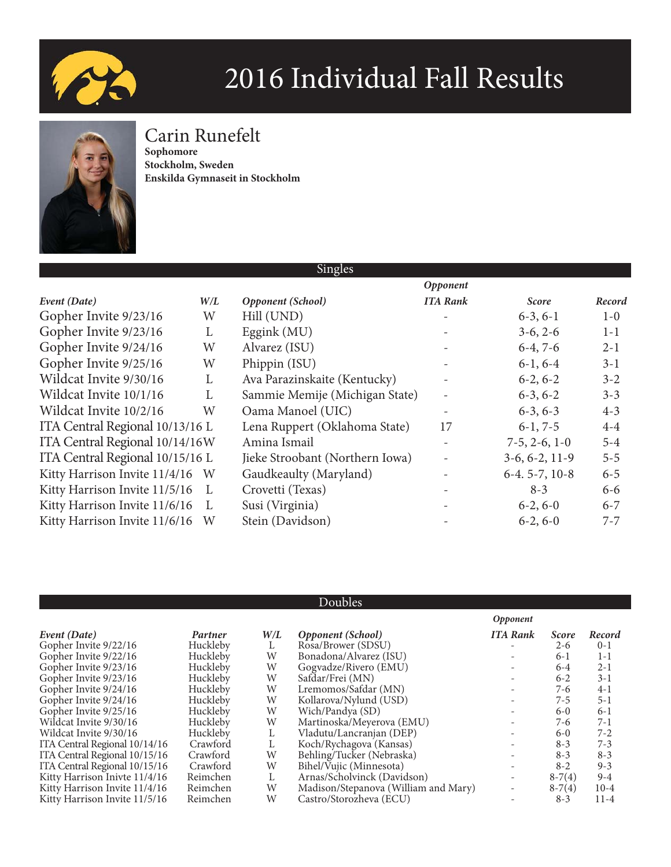



### Carin Runefelt

**Sophomore Stockholm, Sweden Enskilda Gymnaseit in Stockholm**

|                                 |           | Singles                         |                          |                  |         |
|---------------------------------|-----------|---------------------------------|--------------------------|------------------|---------|
|                                 |           |                                 | Opponent                 |                  |         |
| Event (Date)                    | $W\!/\!L$ | Opponent (School)               | <b>ITA Rank</b>          | <b>Score</b>     | Record  |
| Gopher Invite 9/23/16           | W         | Hill (UND)                      |                          | $6-3, 6-1$       | $1-0$   |
| Gopher Invite 9/23/16           | L         | Eggink $(MU)$                   |                          | $3-6, 2-6$       | $1 - 1$ |
| Gopher Invite 9/24/16           | W         | Alvarez (ISU)                   |                          | $6-4, 7-6$       | $2 - 1$ |
| Gopher Invite 9/25/16           | W         | Phippin (ISU)                   | $\overline{\phantom{a}}$ | $6-1, 6-4$       | $3-1$   |
| Wildcat Invite 9/30/16          | L         | Ava Parazinskaite (Kentucky)    |                          | $6-2, 6-2$       | $3 - 2$ |
| Wildcat Invite 10/1/16          | L         | Sammie Memije (Michigan State)  | $\overline{\phantom{a}}$ | $6-3, 6-2$       | $3 - 3$ |
| Wildcat Invite 10/2/16          | W         | Oama Manoel (UIC)               |                          | $6-3, 6-3$       | $4 - 3$ |
| ITA Central Regional 10/13/16 L |           | Lena Ruppert (Oklahoma State)   | 17                       | $6-1, 7-5$       | $4 - 4$ |
| ITA Central Regional 10/14/16W  |           | Amina Ismail                    |                          | $7-5, 2-6, 1-0$  | $5 - 4$ |
| ITA Central Regional 10/15/16 L |           | Jieke Stroobant (Northern Iowa) |                          | $3-6, 6-2, 11-9$ | $5 - 5$ |
| Kitty Harrison Invite 11/4/16 W |           | Gaudkeaulty (Maryland)          |                          | $6-4.5-7, 10-8$  | $6 - 5$ |
| Kitty Harrison Invite 11/5/16   | L         | Crovetti (Texas)                |                          | $8 - 3$          | $6 - 6$ |
| Kitty Harrison Invite 11/6/16   | L         | Susi (Virginia)                 | $\overline{\phantom{a}}$ | $6-2, 6-0$       | $6 - 7$ |
| Kitty Harrison Invite 11/6/16   | W         | Stein (Davidson)                |                          | $6-2, 6-0$       | $7 - 7$ |

|                               |          |     |                                      | Opponent                 |              |          |
|-------------------------------|----------|-----|--------------------------------------|--------------------------|--------------|----------|
| Event (Date)                  | Partner  | W/L | <b>Opponent</b> (School)             | <b>ITA Rank</b>          | <b>Score</b> | Record   |
| Gopher Invite 9/22/16         | Huckleby |     | Rosa/Brower (SDSU)                   |                          | $2 - 6$      | $0 - 1$  |
| Gopher Invite 9/22/16         | Huckleby | W   | Bonadona/Alvarez (ISU)               |                          | $6 - 1$      | $1-1$    |
| Gopher Invite 9/23/16         | Huckleby | W   | Gogyadze/Rivero (EMU)                |                          | $6 - 4$      | $2 - 1$  |
| Gopher Invite 9/23/16         | Huckleby | W   | Safdar/Frei (MN)                     |                          | $6 - 2$      | $3-1$    |
| Gopher Invite 9/24/16         | Huckleby | W   | Lremomos/Safdar (MN)                 |                          | 7-6          | $4-1$    |
| Gopher Invite 9/24/16         | Huckleby | W   | Kollarova/Nylund (USD)               | $\overline{\phantom{a}}$ | $7 - 5$      | $5 - 1$  |
| Gopher Invite 9/25/16         | Huckleby | W   | Wich/Pandya (SD)                     |                          | $6-0$        | $6-1$    |
| Wildcat Invite 9/30/16        | Huckleby | W   | Martinoska/Meyerova (EMU)            |                          | 7-6          | $7-1$    |
| Wildcat Invite 9/30/16        | Huckleby |     | Vladutu/Lancranjan (DEP)             |                          | $6-0$        | $7 - 2$  |
| ITA Central Regional 10/14/16 | Crawford |     | Koch/Rychagova (Kansas)              | $\overline{\phantom{a}}$ | $8 - 3$      | $7 - 3$  |
| ITA Central Regional 10/15/16 | Crawford | W   | Behling/Tucker (Nebraska)            |                          | $8 - 3$      | $8 - 3$  |
| ITA Central Regional 10/15/16 | Crawford | W   | Bihel/Vujic (Minnesota)              |                          | $8-2$        | $9 - 3$  |
| Kitty Harrison Inivte 11/4/16 | Reimchen |     | Arnas/Scholvinck (Davidson)          | $\overline{\phantom{a}}$ | $8-7(4)$     | $9 - 4$  |
| Kitty Harrison Invite 11/4/16 | Reimchen | W   | Madison/Stepanova (William and Mary) | $\overline{\phantom{a}}$ | $8-7(4)$     | $10-4$   |
| Kitty Harrison Invite 11/5/16 | Reimchen | W   | Castro/Storozheva (ECU)              |                          | $8-3$        | $11 - 4$ |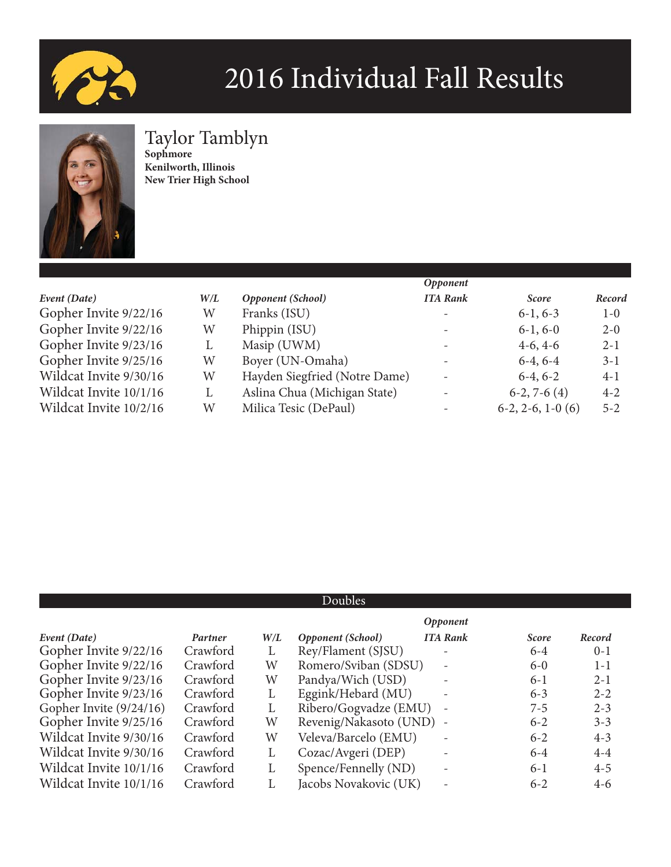



### Taylor Tamblyn

**Sophmore Kenilworth, Illinois New Trier High School**

|                        |     |                               | Opponent                 |                    |         |
|------------------------|-----|-------------------------------|--------------------------|--------------------|---------|
| Event (Date)           | W/L | Opponent (School)             | <b>ITA Rank</b>          | <b>Score</b>       | Record  |
| Gopher Invite 9/22/16  | W   | Franks (ISU)                  | $\overline{\phantom{0}}$ | $6-1, 6-3$         | $1 - 0$ |
| Gopher Invite 9/22/16  | W   | Phippin (ISU)                 | $\overline{\phantom{a}}$ | $6-1, 6-0$         | $2 - 0$ |
| Gopher Invite 9/23/16  | L   | Masip (UWM)                   | $\overline{\phantom{0}}$ | $4-6, 4-6$         | $2 - 1$ |
| Gopher Invite 9/25/16  | W   | Boyer (UN-Omaha)              | $\overline{\phantom{a}}$ | $6-4, 6-4$         | $3 - 1$ |
| Wildcat Invite 9/30/16 | W   | Hayden Siegfried (Notre Dame) |                          | $6-4, 6-2$         | $4-1$   |
| Wildcat Invite 10/1/16 | L   | Aslina Chua (Michigan State)  |                          | $6-2, 7-6(4)$      | $4 - 2$ |
| Wildcat Invite 10/2/16 | W   | Milica Tesic (DePaul)         | $\overline{\phantom{0}}$ | $6-2, 2-6, 1-0(6)$ | $5 - 2$ |

|                         |          |     |                          | <b>Opponent</b>          |              |         |
|-------------------------|----------|-----|--------------------------|--------------------------|--------------|---------|
| Event (Date)            | Partner  | W/L | Opponent (School)        | <b>ITA Rank</b>          | <b>Score</b> | Record  |
| Gopher Invite 9/22/16   | Crawford | L   | Rey/Flament (SJSU)       |                          | $6 - 4$      | $0 - 1$ |
| Gopher Invite 9/22/16   | Crawford | W   | Romero/Sviban (SDSU)     |                          | $6-0$        | $1 - 1$ |
| Gopher Invite 9/23/16   | Crawford | W   | Pandya/Wich (USD)        |                          | $6-1$        | $2 - 1$ |
| Gopher Invite 9/23/16   | Crawford | L   | Eggink/Hebard (MU)       | $\overline{\phantom{a}}$ | $6 - 3$      | $2 - 2$ |
| Gopher Invite (9/24/16) | Crawford | L   | Ribero/Gogvadze (EMU) -  |                          | $7-5$        | $2 - 3$ |
| Gopher Invite 9/25/16   | Crawford | W   | Revenig/Nakasoto (UND) - |                          | $6 - 2$      | $3 - 3$ |
| Wildcat Invite 9/30/16  | Crawford | W   | Veleva/Barcelo (EMU)     | $\overline{\phantom{a}}$ | $6 - 2$      | $4 - 3$ |
| Wildcat Invite 9/30/16  | Crawford | L   | Cozac/Avgeri (DEP)       | $\qquad \qquad -$        | $6 - 4$      | $4 - 4$ |
| Wildcat Invite 10/1/16  | Crawford | L   | Spence/Fennelly (ND)     | $\overline{\phantom{a}}$ | $6-1$        | $4 - 5$ |
| Wildcat Invite 10/1/16  | Crawford |     | Jacobs Novakovic (UK)    |                          | $6 - 2$      | $4-6$   |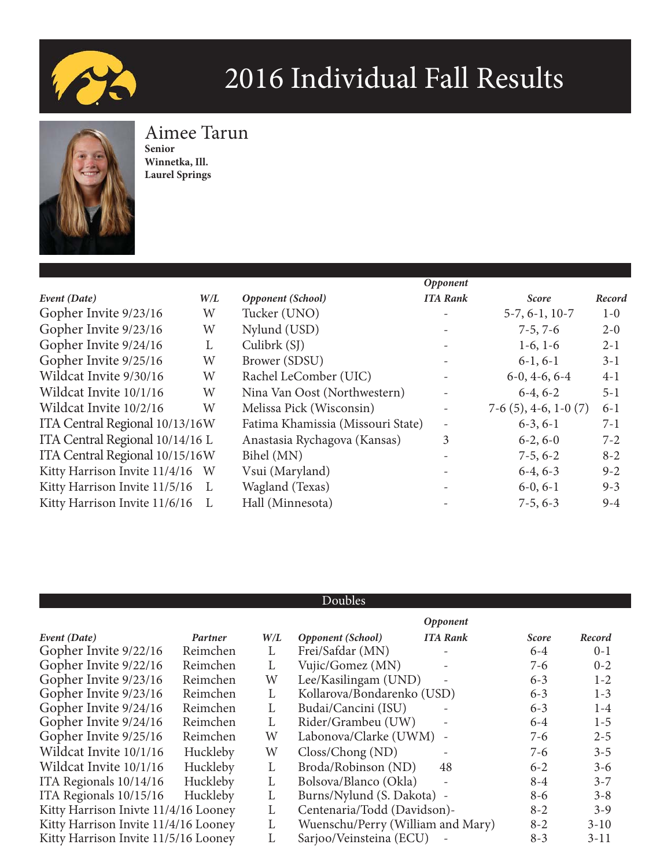



### Aimee Tarun **Senior**

**Winnetka, Ill. Laurel Springs**

|                                 |     |                                   | Opponent                 |                        |         |
|---------------------------------|-----|-----------------------------------|--------------------------|------------------------|---------|
| Event (Date)                    | W/L | Opponent (School)                 | <b>ITA Rank</b>          | <b>Score</b>           | Record  |
| Gopher Invite 9/23/16           | W   | Tucker (UNO)                      |                          | $5-7, 6-1, 10-7$       | $1-0$   |
| Gopher Invite 9/23/16           | W   | Nylund (USD)                      | $\overline{\phantom{a}}$ | $7-5, 7-6$             | $2 - 0$ |
| Gopher Invite 9/24/16           | L   | Culibrk(SJ)                       | $\overline{\phantom{a}}$ | $1-6, 1-6$             | $2 - 1$ |
| Gopher Invite 9/25/16           | W   | Brower (SDSU)                     |                          | $6-1, 6-1$             | $3-1$   |
| Wildcat Invite 9/30/16          | W   | Rachel LeComber (UIC)             |                          | $6-0, 4-6, 6-4$        | $4-1$   |
| Wildcat Invite 10/1/16          | W   | Nina Van Oost (Northwestern)      | $\qquad \qquad -$        | $6-4, 6-2$             | $5 - 1$ |
| Wildcat Invite 10/2/16          | W   | Melissa Pick (Wisconsin)          | $\overline{\phantom{a}}$ | $7-6(5)$ , 4-6, 1-0(7) | $6 - 1$ |
| ITA Central Regional 10/13/16W  |     | Fatima Khamissia (Missouri State) | $\overline{\phantom{a}}$ | $6-3, 6-1$             | $7 - 1$ |
| ITA Central Regional 10/14/16 L |     | Anastasia Rychagova (Kansas)      | 3                        | $6-2, 6-0$             | $7 - 2$ |
| ITA Central Regional 10/15/16W  |     | Bihel (MN)                        |                          | $7-5, 6-2$             | $8 - 2$ |
| Kitty Harrison Invite 11/4/16 W |     | Vsui (Maryland)                   |                          | $6-4, 6-3$             | $9 - 2$ |
| Kitty Harrison Invite 11/5/16   | L   | Wagland (Texas)                   | $\overline{\phantom{a}}$ | $6-0, 6-1$             | $9 - 3$ |
| Kitty Harrison Invite 11/6/16   |     | Hall (Minnesota)                  |                          | $7-5, 6-3$             | $9 - 4$ |

|                                      |          |     |                                   | Opponent                 |              |         |
|--------------------------------------|----------|-----|-----------------------------------|--------------------------|--------------|---------|
| Event (Date)                         | Partner  | W/L | <b>Opponent</b> (School)          | <b>ITA Rank</b>          | <b>Score</b> | Record  |
| Gopher Invite 9/22/16                | Reimchen | L   | Frei/Safdar (MN)                  |                          | $6-4$        | $0 - 1$ |
| Gopher Invite 9/22/16                | Reimchen | L   | Vujic/Gomez (MN)                  |                          | $7-6$        | $0 - 2$ |
| Gopher Invite 9/23/16                | Reimchen | W   | Lee/Kasilingam (UND)              |                          | $6 - 3$      | $1 - 2$ |
| Gopher Invite 9/23/16                | Reimchen | L   | Kollarova/Bondarenko (USD)        |                          | $6 - 3$      | $1 - 3$ |
| Gopher Invite 9/24/16                | Reimchen | L   | Budai/Cancini (ISU)               |                          | $6 - 3$      | $1-4$   |
| Gopher Invite 9/24/16                | Reimchen | L   | Rider/Grambeu (UW)                |                          | $6-4$        | $1 - 5$ |
| Gopher Invite 9/25/16                | Reimchen | W   | Labonova/Clarke (UWM)             |                          | $7-6$        | $2 - 5$ |
| Wildcat Invite 10/1/16               | Huckleby | W   | Closs/Chong (ND)                  |                          | $7-6$        | $3 - 5$ |
| Wildcat Invite 10/1/16               | Huckleby | L   | Broda/Robinson (ND)               | 48                       | $6 - 2$      | $3 - 6$ |
| ITA Regionals 10/14/16               | Huckleby | L   | Bolsova/Blanco (Okla)             |                          | $8 - 4$      | $3 - 7$ |
| ITA Regionals 10/15/16               | Huckleby | L   | Burns/Nylund (S. Dakota) -        |                          | $8 - 6$      | $3 - 8$ |
| Kitty Harrison Inivte 11/4/16 Looney |          | L   | Centenaria/Todd (Davidson)-       |                          | $8 - 2$      | $3 - 9$ |
| Kitty Harrison Invite 11/4/16 Looney |          | L   | Wuenschu/Perry (William and Mary) |                          | $8 - 2$      | $3-10$  |
| Kitty Harrison Invite 11/5/16 Looney |          | L   | Sarjoo/Veinsteina (ECU)           | $\overline{\phantom{a}}$ | $8 - 3$      | $3-11$  |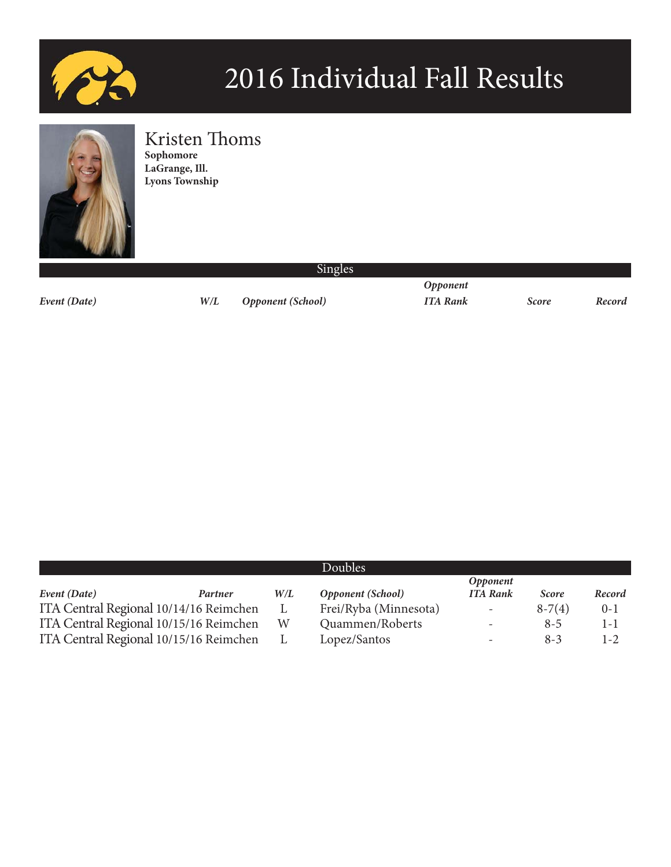



### Kristen Thoms

**Sophomore LaGrange, Ill. Lyons Township**

*Event (Date) W/L Opponent (School) ITA Rank Score Record*

 *Opponent*

|                                        |         |     | Doubles                  |                          |              |         |
|----------------------------------------|---------|-----|--------------------------|--------------------------|--------------|---------|
|                                        |         |     |                          | <i><b>Opponent</b></i>   |              |         |
| Event (Date)                           | Partner | W/L | <b>Opponent</b> (School) | <b>ITA Rank</b>          | <b>Score</b> | Record  |
| ITA Central Regional 10/14/16 Reimchen |         | L   | Frei/Ryba (Minnesota)    | $\overline{\phantom{a}}$ | $8-7(4)$     | $0 - 1$ |
| ITA Central Regional 10/15/16 Reimchen |         | W   | Quammen/Roberts          | $\overline{\phantom{0}}$ | $8 - 5$      | $1 - 1$ |
| ITA Central Regional 10/15/16 Reimchen |         |     | Lopez/Santos             | -                        | $8-3$        | $1 - 2$ |

#### Singles